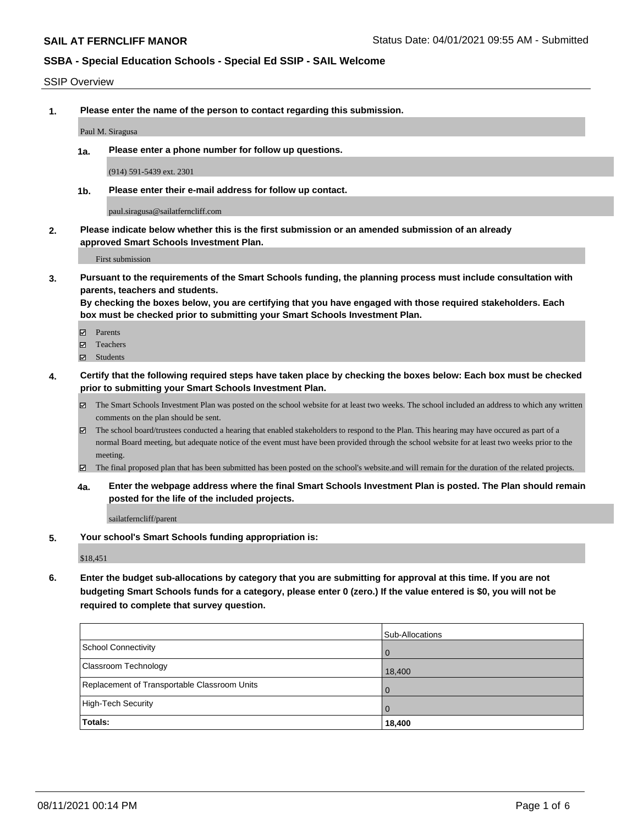#### SSIP Overview

**1. Please enter the name of the person to contact regarding this submission.**

Paul M. Siragusa

**1a. Please enter a phone number for follow up questions.**

(914) 591-5439 ext. 2301

**1b. Please enter their e-mail address for follow up contact.**

paul.siragusa@sailatferncliff.com

**2. Please indicate below whether this is the first submission or an amended submission of an already approved Smart Schools Investment Plan.**

First submission

**3. Pursuant to the requirements of the Smart Schools funding, the planning process must include consultation with parents, teachers and students.**

**By checking the boxes below, you are certifying that you have engaged with those required stakeholders. Each box must be checked prior to submitting your Smart Schools Investment Plan.**

- Parents
- Teachers
- Students
- **4. Certify that the following required steps have taken place by checking the boxes below: Each box must be checked prior to submitting your Smart Schools Investment Plan.**
	- The Smart Schools Investment Plan was posted on the school website for at least two weeks. The school included an address to which any written comments on the plan should be sent.
	- The school board/trustees conducted a hearing that enabled stakeholders to respond to the Plan. This hearing may have occured as part of a normal Board meeting, but adequate notice of the event must have been provided through the school website for at least two weeks prior to the meeting.
	- The final proposed plan that has been submitted has been posted on the school's website.and will remain for the duration of the related projects.
	- **4a. Enter the webpage address where the final Smart Schools Investment Plan is posted. The Plan should remain posted for the life of the included projects.**

sailatferncliff/parent

**5. Your school's Smart Schools funding appropriation is:**

\$18,451

**6. Enter the budget sub-allocations by category that you are submitting for approval at this time. If you are not budgeting Smart Schools funds for a category, please enter 0 (zero.) If the value entered is \$0, you will not be required to complete that survey question.**

|                                              | Sub-Allocations |
|----------------------------------------------|-----------------|
| School Connectivity                          | $\overline{0}$  |
| Classroom Technology                         | 18,400          |
| Replacement of Transportable Classroom Units | $\overline{0}$  |
| High-Tech Security                           | $\Omega$        |
| Totals:                                      | 18,400          |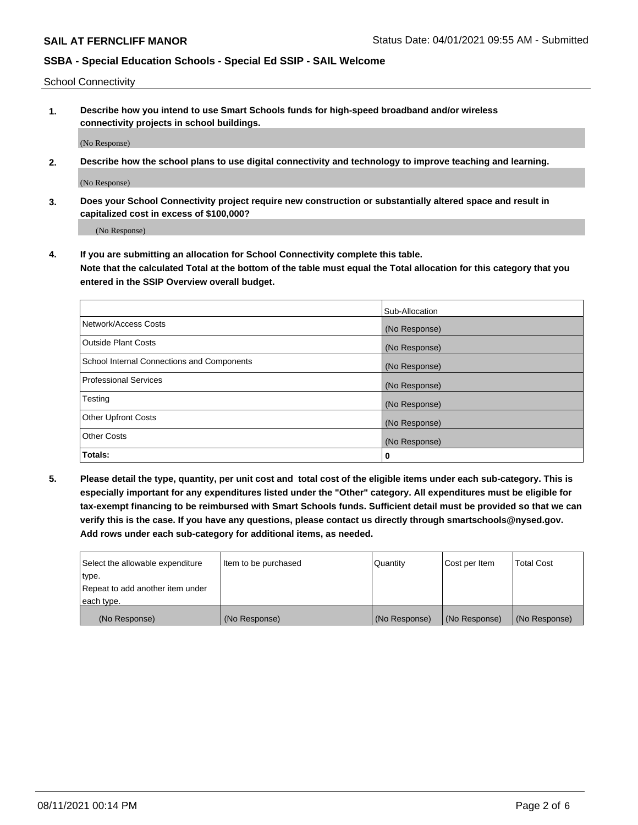School Connectivity

**1. Describe how you intend to use Smart Schools funds for high-speed broadband and/or wireless connectivity projects in school buildings.**

(No Response)

**2. Describe how the school plans to use digital connectivity and technology to improve teaching and learning.**

(No Response)

**3. Does your School Connectivity project require new construction or substantially altered space and result in capitalized cost in excess of \$100,000?**

(No Response)

**4. If you are submitting an allocation for School Connectivity complete this table. Note that the calculated Total at the bottom of the table must equal the Total allocation for this category that you entered in the SSIP Overview overall budget.** 

|                                            | Sub-Allocation |
|--------------------------------------------|----------------|
| Network/Access Costs                       | (No Response)  |
| Outside Plant Costs                        | (No Response)  |
| School Internal Connections and Components | (No Response)  |
| <b>Professional Services</b>               | (No Response)  |
| Testing                                    | (No Response)  |
| Other Upfront Costs                        | (No Response)  |
| <b>Other Costs</b>                         | (No Response)  |
| Totals:                                    | 0              |

**5. Please detail the type, quantity, per unit cost and total cost of the eligible items under each sub-category. This is especially important for any expenditures listed under the "Other" category. All expenditures must be eligible for tax-exempt financing to be reimbursed with Smart Schools funds. Sufficient detail must be provided so that we can verify this is the case. If you have any questions, please contact us directly through smartschools@nysed.gov. Add rows under each sub-category for additional items, as needed.**

| each type.<br>(No Response)      | (No Response)          | (No Response) | (No Response) | (No Response)     |
|----------------------------------|------------------------|---------------|---------------|-------------------|
|                                  |                        |               |               |                   |
| Repeat to add another item under |                        |               |               |                   |
| ∣type.                           |                        |               |               |                   |
| Select the allowable expenditure | I Item to be purchased | Quantity      | Cost per Item | <b>Total Cost</b> |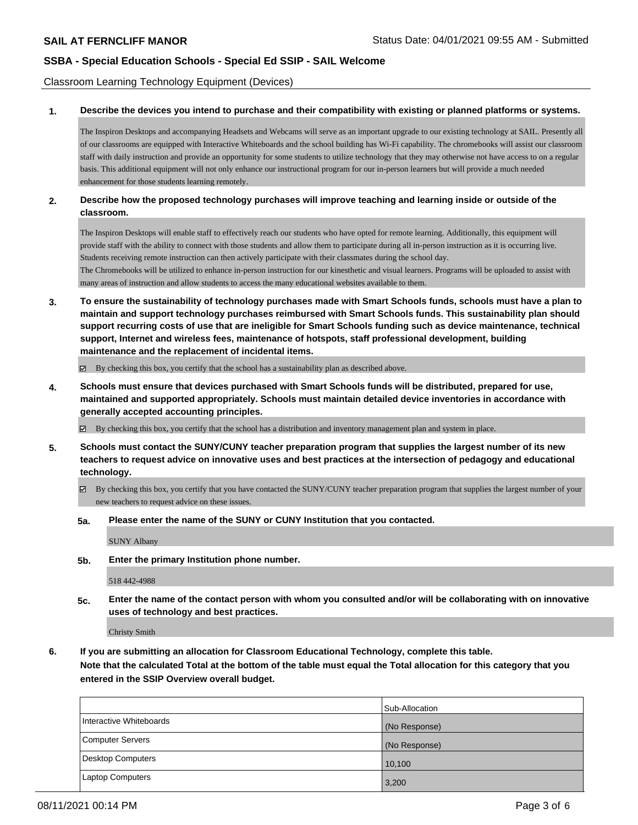Classroom Learning Technology Equipment (Devices)

**1. Describe the devices you intend to purchase and their compatibility with existing or planned platforms or systems.**

The Inspiron Desktops and accompanying Headsets and Webcams will serve as an important upgrade to our existing technology at SAIL. Presently all of our classrooms are equipped with Interactive Whiteboards and the school building has Wi-Fi capability. The chromebooks will assist our classroom staff with daily instruction and provide an opportunity for some students to utilize technology that they may otherwise not have access to on a regular basis. This additional equipment will not only enhance our instructional program for our in-person learners but will provide a much needed enhancement for those students learning remotely.

## **2. Describe how the proposed technology purchases will improve teaching and learning inside or outside of the classroom.**

The Inspiron Desktops will enable staff to effectively reach our students who have opted for remote learning. Additionally, this equipment will provide staff with the ability to connect with those students and allow them to participate during all in-person instruction as it is occurring live. Students receiving remote instruction can then actively participate with their classmates during the school day. The Chromebooks will be utilized to enhance in-person instruction for our kinesthetic and visual learners. Programs will be uploaded to assist with many areas of instruction and allow students to access the many educational websites available to them.

**3. To ensure the sustainability of technology purchases made with Smart Schools funds, schools must have a plan to maintain and support technology purchases reimbursed with Smart Schools funds. This sustainability plan should support recurring costs of use that are ineligible for Smart Schools funding such as device maintenance, technical support, Internet and wireless fees, maintenance of hotspots, staff professional development, building maintenance and the replacement of incidental items.**

 $\boxtimes$  By checking this box, you certify that the school has a sustainability plan as described above.

**4. Schools must ensure that devices purchased with Smart Schools funds will be distributed, prepared for use, maintained and supported appropriately. Schools must maintain detailed device inventories in accordance with generally accepted accounting principles.**

By checking this box, you certify that the school has a distribution and inventory management plan and system in place.

- **5. Schools must contact the SUNY/CUNY teacher preparation program that supplies the largest number of its new teachers to request advice on innovative uses and best practices at the intersection of pedagogy and educational technology.**
	- By checking this box, you certify that you have contacted the SUNY/CUNY teacher preparation program that supplies the largest number of your new teachers to request advice on these issues.
	- **5a. Please enter the name of the SUNY or CUNY Institution that you contacted.**

SUNY Albany

**5b. Enter the primary Institution phone number.**

518 442-4988

**5c. Enter the name of the contact person with whom you consulted and/or will be collaborating with on innovative uses of technology and best practices.**

Christy Smith

**6. If you are submitting an allocation for Classroom Educational Technology, complete this table. Note that the calculated Total at the bottom of the table must equal the Total allocation for this category that you entered in the SSIP Overview overall budget.**

|                         | Sub-Allocation |
|-------------------------|----------------|
| Interactive Whiteboards | (No Response)  |
| Computer Servers        | (No Response)  |
| Desktop Computers       | 10,100         |
| <b>Laptop Computers</b> | 3,200          |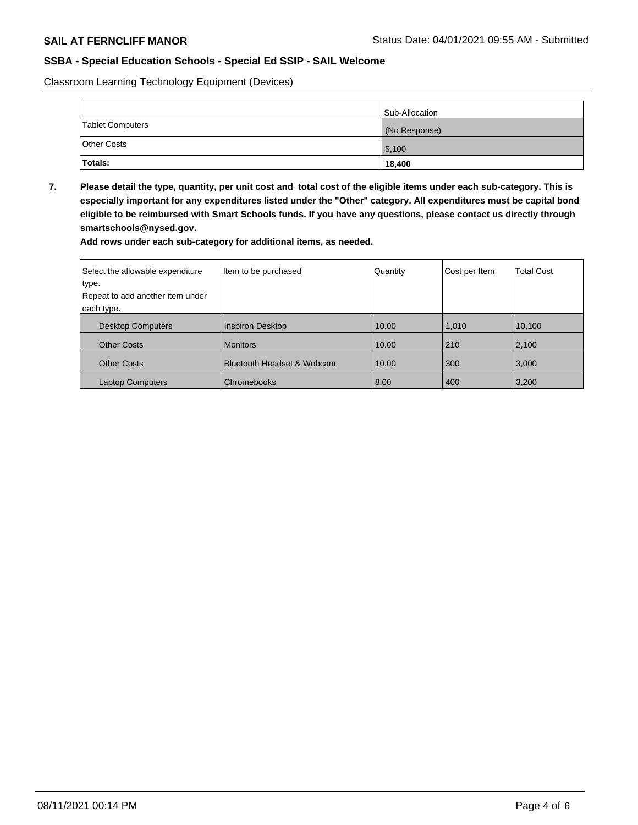Classroom Learning Technology Equipment (Devices)

|                    | Sub-Allocation |
|--------------------|----------------|
| Tablet Computers   | (No Response)  |
| <b>Other Costs</b> | 5,100          |
| Totals:            | 18,400         |

**7. Please detail the type, quantity, per unit cost and total cost of the eligible items under each sub-category. This is especially important for any expenditures listed under the "Other" category. All expenditures must be capital bond eligible to be reimbursed with Smart Schools funds. If you have any questions, please contact us directly through smartschools@nysed.gov.**

**Add rows under each sub-category for additional items, as needed.**

| Select the allowable expenditure | Item to be purchased       | Quantity | Cost per Item | Total Cost |
|----------------------------------|----------------------------|----------|---------------|------------|
| type.                            |                            |          |               |            |
| Repeat to add another item under |                            |          |               |            |
| each type.                       |                            |          |               |            |
| <b>Desktop Computers</b>         | <b>Inspiron Desktop</b>    | 10.00    | 1,010         | 10,100     |
| <b>Other Costs</b>               | <b>Monitors</b>            | 10.00    | 210           | 2,100      |
| <b>Other Costs</b>               | Bluetooth Headset & Webcam | 10.00    | 300           | 3,000      |
| <b>Laptop Computers</b>          | Chromebooks                | 8.00     | 400           | 3,200      |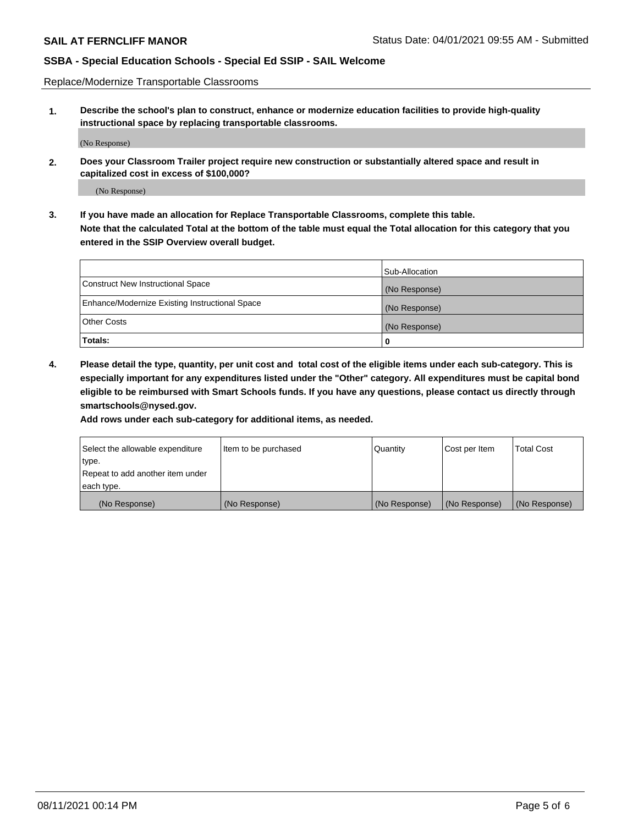Replace/Modernize Transportable Classrooms

**1. Describe the school's plan to construct, enhance or modernize education facilities to provide high-quality instructional space by replacing transportable classrooms.**

(No Response)

**2. Does your Classroom Trailer project require new construction or substantially altered space and result in capitalized cost in excess of \$100,000?**

(No Response)

**3. If you have made an allocation for Replace Transportable Classrooms, complete this table. Note that the calculated Total at the bottom of the table must equal the Total allocation for this category that you entered in the SSIP Overview overall budget.**

|                                                | Sub-Allocation |
|------------------------------------------------|----------------|
| Construct New Instructional Space              | (No Response)  |
| Enhance/Modernize Existing Instructional Space | (No Response)  |
| Other Costs                                    | (No Response)  |
| Totals:                                        | 0              |

**4. Please detail the type, quantity, per unit cost and total cost of the eligible items under each sub-category. This is especially important for any expenditures listed under the "Other" category. All expenditures must be capital bond eligible to be reimbursed with Smart Schools funds. If you have any questions, please contact us directly through smartschools@nysed.gov.**

**Add rows under each sub-category for additional items, as needed.**

| Select the allowable expenditure | lltem to be purchased | Quantity      | Cost per Item | <b>Total Cost</b> |
|----------------------------------|-----------------------|---------------|---------------|-------------------|
| type.                            |                       |               |               |                   |
| Repeat to add another item under |                       |               |               |                   |
| each type.                       |                       |               |               |                   |
| (No Response)                    | (No Response)         | (No Response) | (No Response) | (No Response)     |